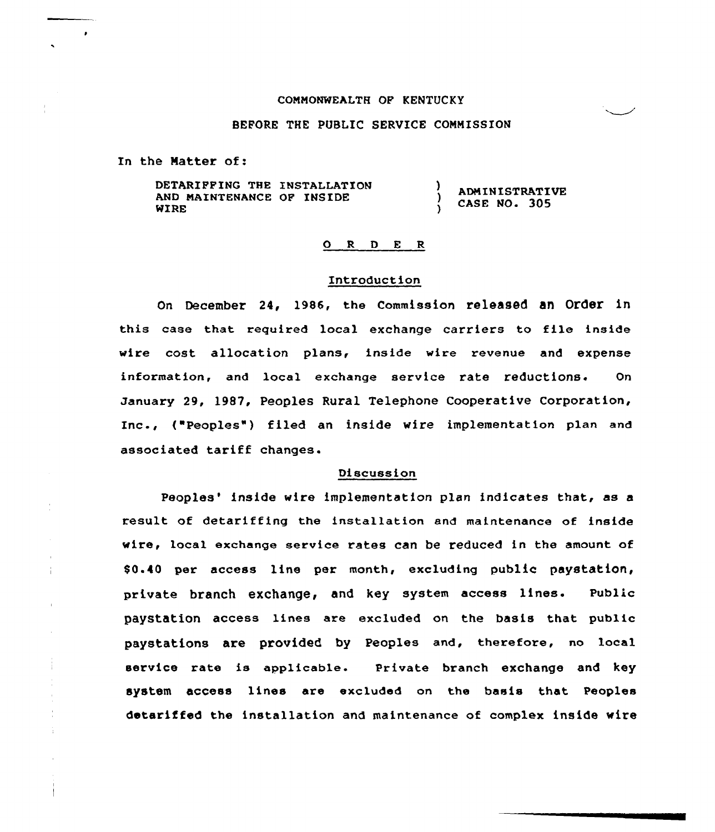#### CONNONWEALTH OF KENTUCKY

## BEFORE THE PUBLIC SERVICE COMMISSION

In the Matter of:

 $\frac{1}{4}$ 

Ť

DETARIFFING THE INSTALLATION ı ADNINISTRATIVR AND MAINTENANCE OF INSIDE CASE No. 305 WIRE

#### ORDER

### Introduction

on December 24, 1986, the commission released an Order in this case that required local exchange carriers to file inside wire cost allocation plans, inside wire revenue and expense information, and local exchange service rate reductions. On January 29, l987, Peoples Rural Telephone Cooperative Corporation, Inc., ("Peoples") filed an inside wire implementation plan and associated tariff changes.

### Discussion

Peoples' inside wire implementation plan indicates that, as a result of detariffing the installation and maintenance of inside wire, local exchange service rates can be reduced in the amount of 80.40 per access line per month, excluding public paystation, private branch exchange, and key system access lines. Public paystation access lines are excluded on the basis that public paystations are provided by Peoples and, therefore, no local service rate is applicable. private branch exchange and key system access lines are excluded on the basis that Peoples detariffed the installation and maintenance of complex inside wire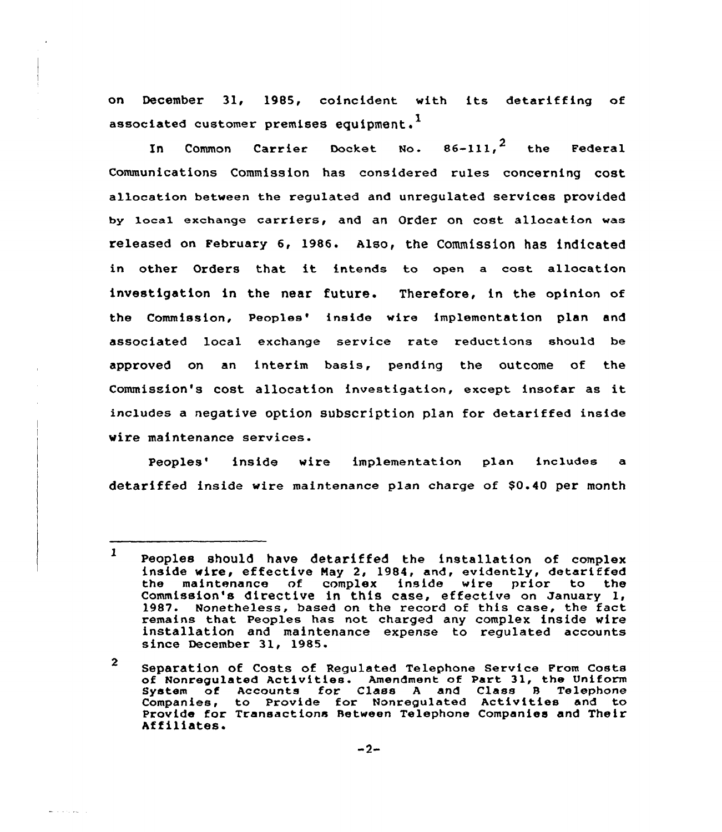on December 31, 198S, coincident with its detariffing of associated customer premises equipment. $^{\mathbf{1}}$ 

In Common Carrier Docket No.  $86-111,$ <sup>2</sup> the Federal Communications Commission has considered rules concerning cost allocation between the regulated and unregulated services provided by local exchange carriers, and an Order on cost allocation was released on February 6, 1986. Also, the Commission has indicated in other Orders that it intends to open <sup>a</sup> cost allocation investigation in the near future. Therefore, in the opinion cf the Commission, Peoples' inside wire implementation plan and associated local exchange service rate reductions should be approved on an interim basis, pending the outcome of the Commission's cost allocation investigation, except insofar as it includes a negative option subscription plan for detariffed inside wire maintenance services.

Peoples' inside wire implementation plan includes a detariffed inside wire maintenance plan charge of \$0.40 per month

which are a supported

<sup>1</sup> Peoples should have detariffed the installation of complex inside wire, effective May 2, 1984, and, evidently, detariffed<br>the maintenance of complex inside wire prior to the maintenance of complex inside wire prior to Commission's directive in this case, effective on January 1, 1987- Nonetheless, based on the record of this case, the fact remains that Peoples has not charged any complex inside wire installation and maintenance expense to regulated accounts since December 31, 1985.

<sup>2</sup> Separation of Costs of Regulated Telephone service From costs of Nonregulated Activities. Amendment of Part 31, the Uniform for Class A and Class B Telephone Companies, to Provide for Nonregulated Activities and to Provide for Transactions Between Telephone Companies and Their Af filiates.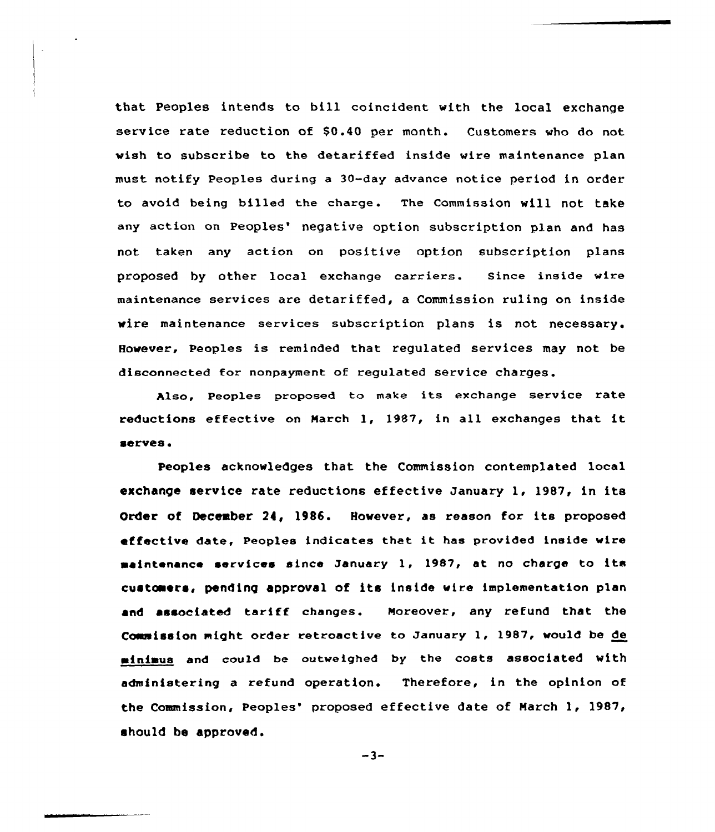that Peoples intends to bill coincident with the local exchange service rate reduction of \$0.40 per month. Customers who do not wish to subscribe to the detariffed inside wire maintenance plan must notify Peoples during a 30-day advance notice period in order to avoid being billed the charge. The Commission will not take any action on Peoples' negative option subscription plan and has not taken any action on positive option subscription plans proposed by other local exchange carriers. since inside wire maintenance services are detariffed, a Commission ruling on inside wire maintenance services subscription plans is not necessary. However, Peoples is reminded that regulated services may not be disconnected for nonpayment of regulated service charges.

hlso, Peoples proposed to make its exchange service rate reductions effective on March 1, 1987, in all exchanges that it serves.

Peoples acknowledges that the Commission contemplated local exchange service rate reductions effective January 1, 1987, in its Order of December 24, 1986. However, as reason for its proposed effective date, Peoples indicates that it has provided inside wire maintenance services since January 1, 1987, at no charge to its custcaers, pending approval of its inside wire implementation plan and associated tariff changes. Moreover, any refund that the Commission might order retroactive to January 1, 1987, would be de minimus and could be outweighed by the costs associated with administering a refund operation. Therefore, in the opinion of the Commission, Peoples' proposed effective date of March 1, 1987, should be approved.

 $-3-$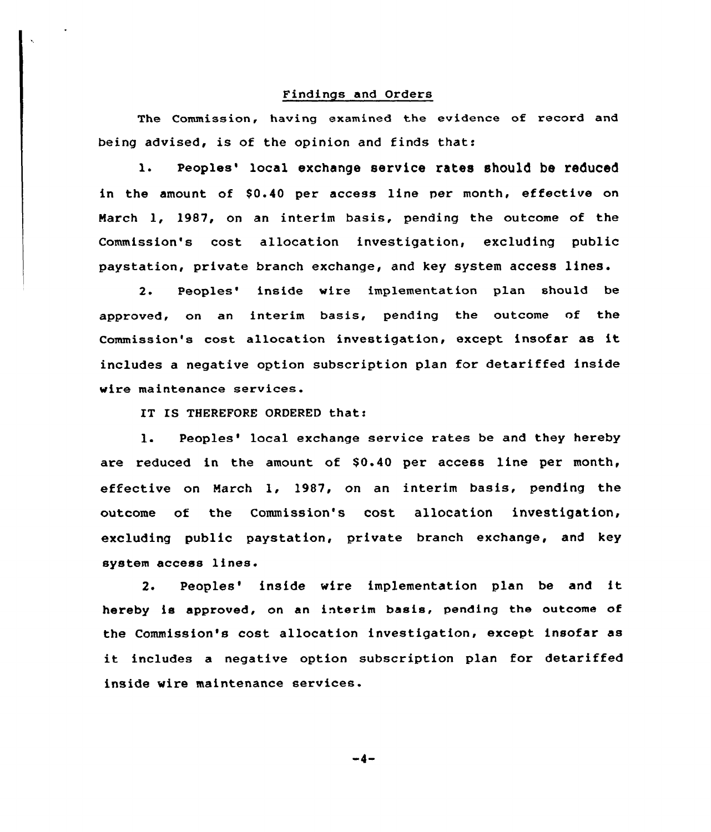# Findings and Orders

The Commission, having examined the evidence of record and being advised, is of the opinion and finds that:

1. Peoples' local exchange service rates should be reduced in the amount of \$0.40 per access line per month, effective on March 1, 1987, on an interim basis, pending the outcome of the Commission's cost allocation investigation, excluding public paystation, private branch exchange, and key system access lines.

2. Peoples' inside wire implementation plan should be approved, on an interim basis, pending the outcome nf the Commission's cost allocation investigation, except insofar as it includes a negative option subscription plan for detariffed inside wire maintenance services.

IT IS THEREFORE ORDERED that:

1. Peoples' local exchange service rates be and they hereby are reduced in the amount of  $$0.40$  per access line per month, effective on March 1, 1987, on an interim basis, pending the outcome of the Commission's cost allocation investigation, excluding public paystation, private branch exchange, and key system access lines.

2. Peoples' inside wire implementation plan be and it hereby is approved, on an interim basis, pending the outcome af the Commission's cast allocation investigation, except insofar as it includes <sup>a</sup> negative option subscription plan for detariffed inside wire maintenance services.

-4-